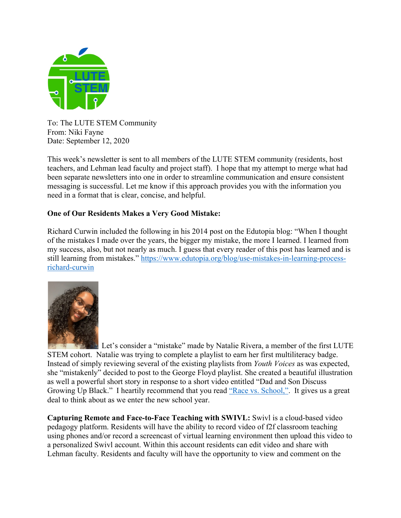

To: The LUTE STEM Community From: Niki Fayne Date: September 12, 2020

This week's newsletter is sent to all members of the LUTE STEM community (residents, host teachers, and Lehman lead faculty and project staff). I hope that my attempt to merge what had been separate newsletters into one in order to streamline communication and ensure consistent messaging is successful. Let me know if this approach provides you with the information you need in a format that is clear, concise, and helpful.

## **One of Our Residents Makes a Very Good Mistake:**

Richard Curwin included the following in his 2014 post on the Edutopia blog: "When I thought of the mistakes I made over the years, the bigger my mistake, the more I learned. I learned from my success, also, but not nearly as much. I guess that every reader of this post has learned and is still learning from mistakes." https://www.edutopia.org/blog/use-mistakes-in-learning-processrichard-curwin



Let's consider a "mistake" made by Natalie Rivera, a member of the first LUTE STEM cohort. Natalie was trying to complete a playlist to earn her first multiliteracy badge. Instead of simply reviewing several of the existing playlists from *Youth Voices* as was expected, she "mistakenly" decided to post to the George Floyd playlist. She created a beautiful illustration as well a powerful short story in response to a short video entitled "Dad and Son Discuss Growing Up Black." I heartily recommend that you read "Race vs. School,". It gives us a great deal to think about as we enter the new school year.

**Capturing Remote and Face-to-Face Teaching with SWIVL:** Swivl is a cloud-based video pedagogy platform. Residents will have the ability to record video of f2f classroom teaching using phones and/or record a screencast of virtual learning environment then upload this video to a personalized Swivl account. Within this account residents can edit video and share with Lehman faculty. Residents and faculty will have the opportunity to view and comment on the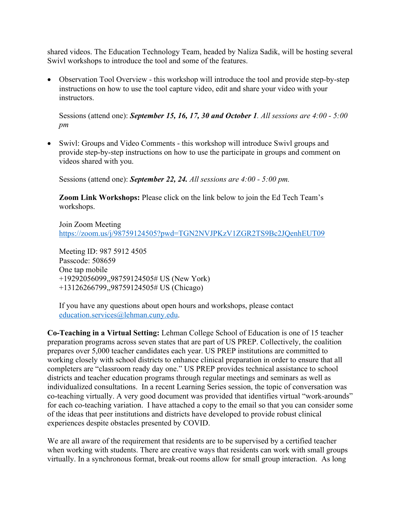shared videos. The Education Technology Team, headed by Naliza Sadik, will be hosting several Swivl workshops to introduce the tool and some of the features.

• Observation Tool Overview - this workshop will introduce the tool and provide step-by-step instructions on how to use the tool capture video, edit and share your video with your instructors.

Sessions (attend one): *September 15, 16, 17, 30 and October 1. All sessions are 4:00 - 5:00 pm* 

• Swivl: Groups and Video Comments - this workshop will introduce Swivl groups and provide step-by-step instructions on how to use the participate in groups and comment on videos shared with you.

Sessions (attend one): *September 22, 24. All sessions are 4:00 - 5:00 pm.* 

**Zoom Link Workshops:** Please click on the link below to join the Ed Tech Team's workshops.

Join Zoom Meeting https://zoom.us/j/98759124505?pwd=TGN2NVJPKzV1ZGR2TS9Bc2JQenhEUT09

Meeting ID: 987 5912 4505 Passcode: 508659 One tap mobile +19292056099,,98759124505# US (New York) +13126266799,,98759124505# US (Chicago)

If you have any questions about open hours and workshops, please contact education.services@lehman.cuny.edu.

**Co-Teaching in a Virtual Setting:** Lehman College School of Education is one of 15 teacher preparation programs across seven states that are part of US PREP. Collectively, the coalition prepares over 5,000 teacher candidates each year. US PREP institutions are committed to working closely with school districts to enhance clinical preparation in order to ensure that all completers are "classroom ready day one." US PREP provides technical assistance to school districts and teacher education programs through regular meetings and seminars as well as individualized consultations. In a recent Learning Series session, the topic of conversation was co-teaching virtually. A very good document was provided that identifies virtual "work-arounds" for each co-teaching variation. I have attached a copy to the email so that you can consider some of the ideas that peer institutions and districts have developed to provide robust clinical experiences despite obstacles presented by COVID.

We are all aware of the requirement that residents are to be supervised by a certified teacher when working with students. There are creative ways that residents can work with small groups virtually. In a synchronous format, break-out rooms allow for small group interaction. As long